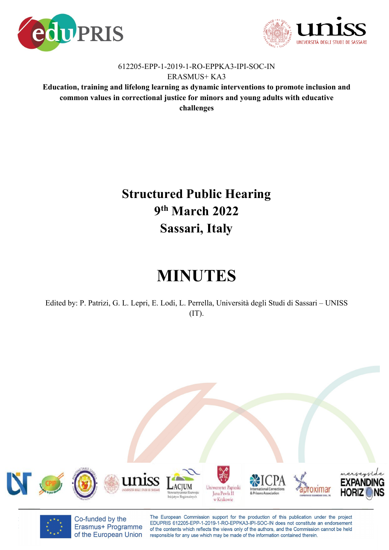



## 612205-EPP-1-2019-1-RO-EPPKA3-IPI-SOC-IN ERASMUS+ KA3

**Education, training and lifelong learning as dynamic interventions to promote inclusion and common values in correctional justice for minors and young adults with educative challenges** 

## **Structured Public Hearing 9th March 2022 Sassari, Italy**

## **MINUTES**

Edited by: P. Patrizi, G. L. Lepri, E. Lodi, L. Perrella, Università degli Studi di Sassari – UNISS  $(TT)$ .



Co-funded by the Erasmus+ Programme of the European Union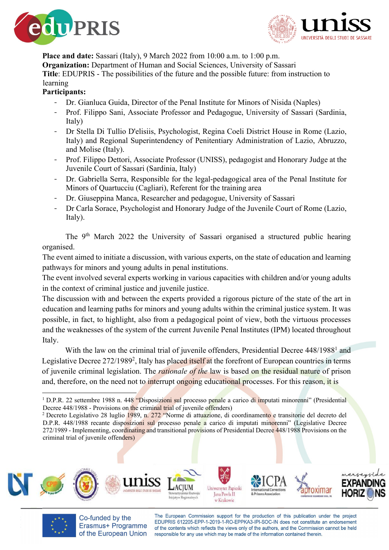



**Place and date:** Sassari (Italy), 9 March 2022 from 10:00 a.m. to 1:00 p.m. **Organization:** Department of Human and Social Sciences, University of Sassari **Title**: EDUPRIS - The possibilities of the future and the possible future: from instruction to learning

## **Participants:**

- Dr. Gianluca Guida, Director of the Penal Institute for Minors of Nisida (Naples)
- Prof. Filippo Sani, Associate Professor and Pedagogue, University of Sassari (Sardinia, Italy)
- Dr Stella Di Tullio D'elisiis, Psychologist, Regina Coeli District House in Rome (Lazio, Italy) and Regional Superintendency of Penitentiary Administration of Lazio, Abruzzo, and Molise (Italy).
- Prof. Filippo Dettori, Associate Professor (UNISS), pedagogist and Honorary Judge at the Juvenile Court of Sassari (Sardinia, Italy)
- Dr. Gabriella Serra, Responsible for the legal-pedagogical area of the Penal Institute for Minors of Quartucciu (Cagliari), Referent for the training area
- Dr. Giuseppina Manca, Researcher and pedagogue, University of Sassari
- Dr Carla Sorace, Psychologist and Honorary Judge of the Juvenile Court of Rome (Lazio, Italy).

The 9th March 2022 the University of Sassari organised a structured public hearing organised.

The event aimed to initiate a discussion, with various experts, on the state of education and learning pathways for minors and young adults in penal institutions.

The event involved several experts working in various capacities with children and/or young adults in the context of criminal justice and juvenile justice.

The discussion with and between the experts provided a rigorous picture of the state of the art in education and learning paths for minors and young adults within the criminal justice system. It was possible, in fact, to highlight, also from a pedagogical point of view, both the virtuous processes and the weaknesses of the system of the current Juvenile Penal Institutes (IPM) located throughout Italy.

With the law on the criminal trial of juvenile offenders, Presidential Decree 448/1988<sup>1</sup> and Legislative Decree 272/1989<sup>2</sup>, Italy has placed itself at the forefront of European countries in terms of juvenile criminal legislation. The *rationale of the* law is based on the residual nature of prison and, therefore, on the need not to interrupt ongoing educational processes. For this reason, it is

D.P.R. 448/1988 recante disposizioni sul processo penale a carico di imputati minorenni" (Legislative Decree 272/1989 - Implementing, coordinating and transitional provisions of Presidential Decree 448/1988 Provisions on the criminal trial of juvenile offenders)





Co-funded by the Erasmus+ Programme of the European Union

<sup>&</sup>lt;sup>1</sup> D.P.R. 22 settembre 1988 n. 448 "Disposizioni sul processo penale a carico di imputati minorenni" (Presidential Decree 448/1988 - Provisions on the criminal trial of juvenile offenders) 2 Decreto Legislativo 28 luglio 1989, n. 272 "Norme di attuazione, di coordinamento e transitorie del decreto del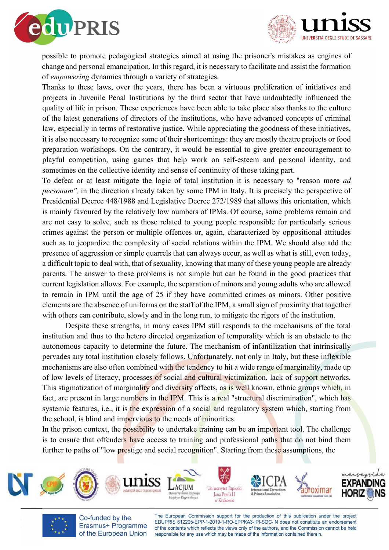



possible to promote pedagogical strategies aimed at using the prisoner's mistakes as engines of change and personal emancipation. In this regard, it is necessary to facilitate and assist the formation of *empowering* dynamics through a variety of strategies.

Thanks to these laws, over the years, there has been a virtuous proliferation of initiatives and projects in Juvenile Penal Institutions by the third sector that have undoubtedly influenced the quality of life in prison. These experiences have been able to take place also thanks to the culture of the latest generations of directors of the institutions, who have advanced concepts of criminal law, especially in terms of restorative justice. While appreciating the goodness of these initiatives, it is also necessary to recognize some of their shortcomings: they are mostly theatre projects or food preparation workshops. On the contrary, it would be essential to give greater encouragement to playful competition, using games that help work on self-esteem and personal identity, and sometimes on the collective identity and sense of continuity of those taking part.

To defeat or at least mitigate the logic of total institution it is necessary to "reason more *ad personam"*, in the direction already taken by some IPM in Italy. It is precisely the perspective of Presidential Decree 448/1988 and Legislative Decree 272/1989 that allows this orientation, which is mainly favoured by the relatively low numbers of IPMs. Of course, some problems remain and are not easy to solve, such as those related to young people responsible for particularly serious crimes against the person or multiple offences or, again, characterized by oppositional attitudes such as to jeopardize the complexity of social relations within the IPM. We should also add the presence of aggression or simple quarrels that can always occur, as well as what is still, even today, a difficult topic to deal with, that of sexuality, knowing that many of these young people are already parents. The answer to these problems is not simple but can be found in the good practices that current legislation allows. For example, the separation of minors and young adults who are allowed to remain in IPM until the age of 25 if they have committed crimes as minors. Other positive elements are the absence of uniforms on the staff of the IPM, a small sign of proximity that together with others can contribute, slowly and in the long run, to mitigate the rigors of the institution.

Despite these strengths, in many cases IPM still responds to the mechanisms of the total institution and thus to the hetero directed organization of temporality which is an obstacle to the autonomous capacity to determine the future. The mechanism of infantilization that intrinsically pervades any total institution closely follows. Unfortunately, not only in Italy, but these inflexible mechanisms are also often combined with the tendency to hit a wide range of marginality, made up of low levels of literacy, processes of social and cultural victimization, lack of support networks. This stigmatization of marginality and diversity affects, as is well known, ethnic groups which, in fact, are present in large numbers in the IPM. This is a real "structural discrimination", which has systemic features, i.e., it is the expression of a social and regulatory system which, starting from the school, is blind and impervious to the needs of minorities.

In the prison context, the possibility to undertake training can be an important tool. The challenge is to ensure that offenders have access to training and professional paths that do not bind them further to paths of "low prestige and social recognition". Starting from these assumptions, the





Co-funded by the Erasmus+ Programme of the European Union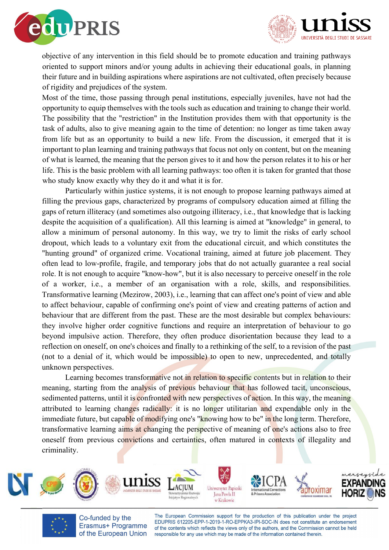



objective of any intervention in this field should be to promote education and training pathways oriented to support minors and/or young adults in achieving their educational goals, in planning their future and in building aspirations where aspirations are not cultivated, often precisely because of rigidity and prejudices of the system.

Most of the time, those passing through penal institutions, especially juveniles, have not had the opportunity to equip themselves with the tools such as education and training to change their world. The possibility that the "restriction" in the Institution provides them with that opportunity is the task of adults, also to give meaning again to the time of detention: no longer as time taken away from life but as an opportunity to build a new life. From the discussion, it emerged that it is important to plan learning and training pathways that focus not only on content, but on the meaning of what is learned, the meaning that the person gives to it and how the person relates it to his or her life. This is the basic problem with all learning pathways: too often it is taken for granted that those who study know exactly why they do it and what it is for.

Particularly within justice systems, it is not enough to propose learning pathways aimed at filling the previous gaps, characterized by programs of compulsory education aimed at filling the gaps of return illiteracy (and sometimes also outgoing illiteracy, i.e., that knowledge that is lacking despite the acquisition of a qualification). All this learning is aimed at "knowledge" in general, to allow a minimum of personal autonomy. In this way, we try to limit the risks of early school dropout, which leads to a voluntary exit from the educational circuit, and which constitutes the "hunting ground" of organized crime. Vocational training, aimed at future job placement. They often lead to low-profile, fragile, and temporary jobs that do not actually guarantee a real social role. It is not enough to acquire "know-how", but it is also necessary to perceive oneself in the role of a worker, i.e., a member of an organisation with a role, skills, and responsibilities. Transformative learning (Mezirow, 2003), i.e., learning that can affect one's point of view and able to affect behaviour, capable of confirming one's point of view and creating patterns of action and behaviour that are different from the past. These are the most desirable but complex behaviours: they involve higher order cognitive functions and require an interpretation of behaviour to go beyond impulsive action. Therefore, they often produce disorientation because they lead to a reflection on oneself, on one's choices and finally to a rethinking of the self, to a revision of the past (not to a denial of it, which would be impossible) to open to new, unprecedented, and totally unknown perspectives.

Learning becomes transformative not in relation to specific contents but in relation to their meaning, starting from the analysis of previous behaviour that has followed tacit, unconscious, sedimented patterns, until it is confronted with new perspectives of action. In this way, the meaning attributed to learning changes radically: it is no longer utilitarian and expendable only in the immediate future, but capable of modifying one's "knowing how to be" in the long term. Therefore, transformative learning aims at changing the perspective of meaning of one's actions also to free oneself from previous convictions and certainties, often matured in contexts of illegality and criminality.



Co-funded by the Erasmus+ Programme of the European Union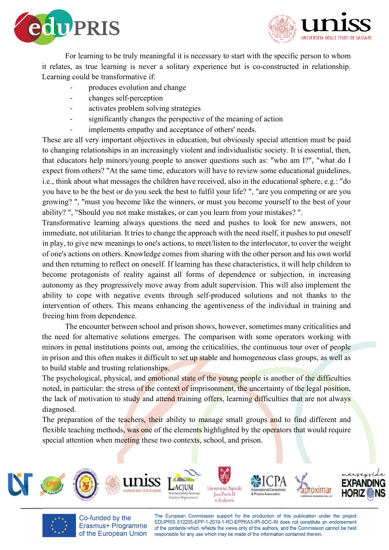



For learning to be truly meaningful it is necessary to start with the specific person to whom it relates, as true learning is never a solitary experience but is co-constructed in relationship. Learning could be transformative if:

- produces evolution and change
- changes self-perception
- activates problem solving strategies
- significantly changes the perspective of the meaning of action
- implements empathy and acceptance of others' needs.

These are all very important objectives in education, but obviously special attention must be paid to changing relationships in an increasingly violent and individualistic society. It is essential, then, that educators help minors/young people to answer questions such as: "who am I?", "what do I expect from others? "At the same time, educators will have to review some educational guidelines, i.e., think about what messages the children have received, also in the educational sphere, e.g.: "do you have to be the best or do you seek the best to fulfil your life? ", "are you competing or are you growing? ", "must you become like the winners, or must you become yourself to the best of your ability? ", "Should you not make mistakes, or can you learn from your mistakes? ".

Transformative learning always questions the need and pushes to look for new answers, not immediate, not utilitarian. It tries to change the approach with the need itself, it pushes to put oneself in play, to give new meanings to one's actions, to meet/listen to the interlocutor, to cover the weight of one's actions on others. Knowledge comes from sharing with the other person and his own world and then returning to reflect on oneself. If learning has these characteristics, it will help children to become protagonists of reality against all forms of dependence or subjection, in increasing autonomy as they progressively move away from adult supervision. This will also implement the ability to cope with negative events through self-produced solutions and not thanks to the intervention of others. This means enhancing the agentiveness of the individual in training and freeing him from dependence.

The encounter between school and prison shows, however, sometimes many criticalities and the need for alternative solutions emerges. The comparison with some operators working with minors in penal institutions points out, among the criticalities, the continuous tour over of people in prison and this often makes it difficult to set up stable and homogeneous class groups, as well as to build stable and trusting relationships.

The psychological, physical, and emotional state of the young people is another of the difficulties noted, in particular: the stress of the context of imprisonment, the uncertainty of the legal position, the lack of motivation to study and attend training offers, learning difficulties that are not always diagnosed.

The preparation of the teachers, their ability to manage small groups and to find different and flexible teaching methods, was one of the elements highlighted by the operators that would require special attention when meeting these two contexts, school, and prison.





Co-funded by the Erasmus+ Programme of the European Union